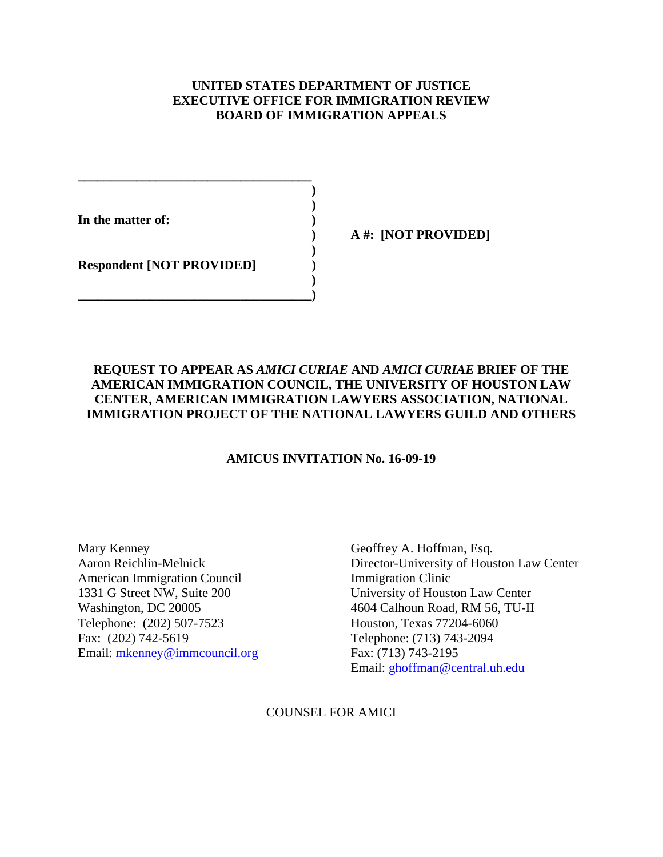## **UNITED STATES DEPARTMENT OF JUSTICE EXECUTIVE OFFICE FOR IMMIGRATION REVIEW BOARD OF IMMIGRATION APPEALS**

**In the matter of: )** 

 **) A #: [NOT PROVIDED]** 

**Respondent [NOT PROVIDED] )** 

**\_\_\_\_\_\_\_\_\_\_\_\_\_\_\_\_\_\_\_\_\_\_\_\_\_\_\_\_\_\_\_\_\_\_\_\_ ) )** 

 **)** 

 **) \_\_\_\_\_\_\_\_\_\_\_\_\_\_\_\_\_\_\_\_\_\_\_\_\_\_\_\_\_\_\_\_\_\_\_\_)** 

## **REQUEST TO APPEAR AS** *AMICI CURIAE* **AND** *AMICI CURIAE* **BRIEF OF THE AMERICAN IMMIGRATION COUNCIL, THE UNIVERSITY OF HOUSTON LAW CENTER, AMERICAN IMMIGRATION LAWYERS ASSOCIATION, NATIONAL IMMIGRATION PROJECT OF THE NATIONAL LAWYERS GUILD AND OTHERS**

## **AMICUS INVITATION No. 16-09-19**

Mary Kenney Geoffrey A. Hoffman, Esq. American Immigration Council Immigration Clinic Telephone: (202) 507-7523 Houston, Texas 77204-6060 Fax: (202) 742-5619 Telephone: (713) 743-2094 Email: mkenney@immcouncil.org Fax: (713) 743-2195

Aaron Reichlin-Melnick Director-University of Houston Law Center 1331 G Street NW, Suite 200 University of Houston Law Center Washington, DC 20005 4604 Calhoun Road, RM 56, TU-II Email: ghoffman@central.uh.edu

COUNSEL FOR AMICI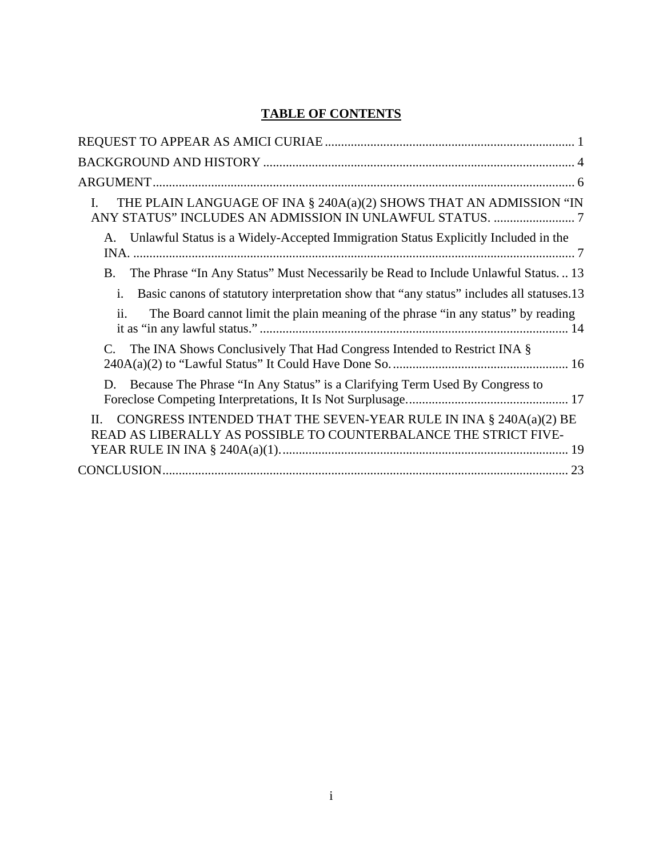# **TABLE OF CONTENTS**

| THE PLAIN LANGUAGE OF INA § 240A(a)(2) SHOWS THAT AN ADMISSION "IN<br>I.                                                                    |
|---------------------------------------------------------------------------------------------------------------------------------------------|
| Unlawful Status is a Widely-Accepted Immigration Status Explicitly Included in the<br>A.                                                    |
| The Phrase "In Any Status" Must Necessarily be Read to Include Unlawful Status 13<br>В.                                                     |
| Basic canons of statutory interpretation show that "any status" includes all statuses.13<br>i.                                              |
| ii.<br>The Board cannot limit the plain meaning of the phrase "in any status" by reading                                                    |
| The INA Shows Conclusively That Had Congress Intended to Restrict INA §<br>C.                                                               |
| Because The Phrase "In Any Status" is a Clarifying Term Used By Congress to<br>D.                                                           |
| CONGRESS INTENDED THAT THE SEVEN-YEAR RULE IN INA § 240A(a)(2) BE<br>H.<br>READ AS LIBERALLY AS POSSIBLE TO COUNTERBALANCE THE STRICT FIVE- |
|                                                                                                                                             |
|                                                                                                                                             |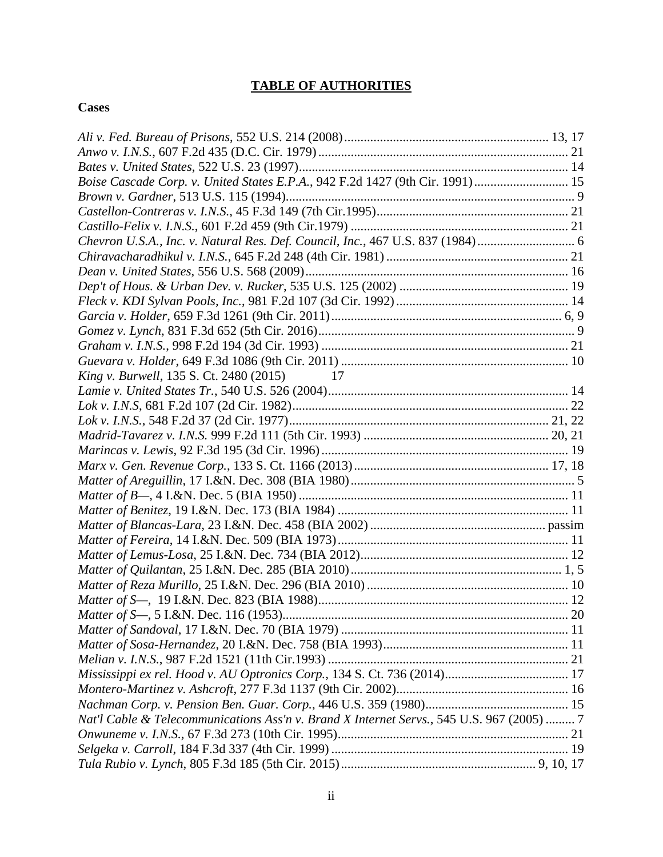## **TABLE OF AUTHORITIES**

#### **Cases**

| Boise Cascade Corp. v. United States E.P.A., 942 F.2d 1427 (9th Cir. 1991) 15             |  |
|-------------------------------------------------------------------------------------------|--|
|                                                                                           |  |
|                                                                                           |  |
|                                                                                           |  |
| Chevron U.S.A., Inc. v. Natural Res. Def. Council, Inc., 467 U.S. 837 (1984)              |  |
|                                                                                           |  |
|                                                                                           |  |
|                                                                                           |  |
|                                                                                           |  |
|                                                                                           |  |
|                                                                                           |  |
|                                                                                           |  |
|                                                                                           |  |
| <i>King v. Burwell</i> , 135 S. Ct. 2480 (2015) 17                                        |  |
|                                                                                           |  |
|                                                                                           |  |
|                                                                                           |  |
|                                                                                           |  |
|                                                                                           |  |
|                                                                                           |  |
|                                                                                           |  |
|                                                                                           |  |
|                                                                                           |  |
|                                                                                           |  |
|                                                                                           |  |
|                                                                                           |  |
|                                                                                           |  |
|                                                                                           |  |
|                                                                                           |  |
|                                                                                           |  |
|                                                                                           |  |
|                                                                                           |  |
|                                                                                           |  |
|                                                                                           |  |
|                                                                                           |  |
|                                                                                           |  |
| Nat'l Cable & Telecommunications Ass'n v. Brand X Internet Servs., 545 U.S. 967 (2005)  7 |  |
|                                                                                           |  |
|                                                                                           |  |
|                                                                                           |  |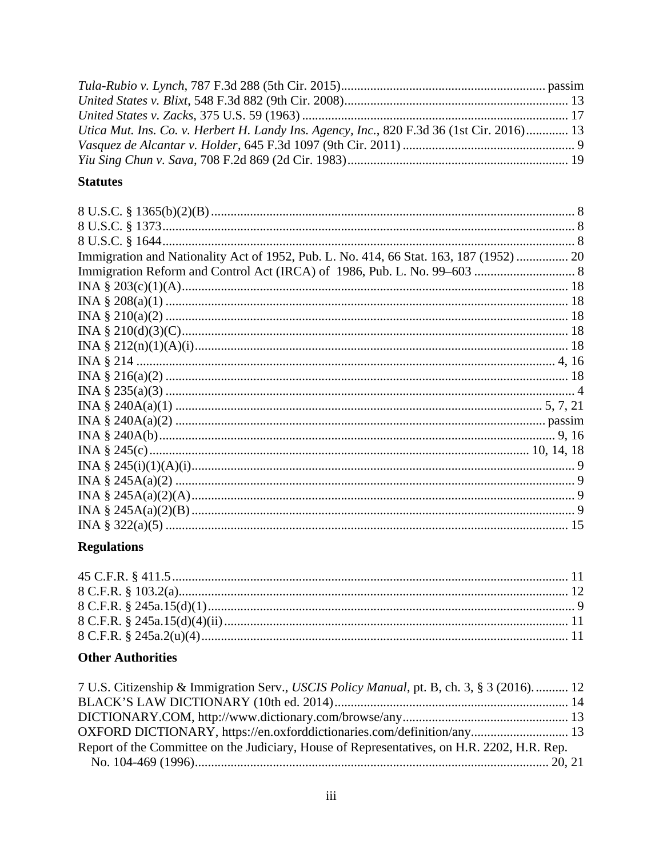| Utica Mut. Ins. Co. v. Herbert H. Landy Ins. Agency, Inc., 820 F.3d 36 (1st Cir. 2016) 13 |  |
|-------------------------------------------------------------------------------------------|--|
|                                                                                           |  |
|                                                                                           |  |

## **Statutes**

| Immigration and Nationality Act of 1952, Pub. L. No. 414, 66 Stat. 163, 187 (1952)  20 |  |
|----------------------------------------------------------------------------------------|--|
|                                                                                        |  |
|                                                                                        |  |
|                                                                                        |  |
|                                                                                        |  |
|                                                                                        |  |
|                                                                                        |  |
|                                                                                        |  |
|                                                                                        |  |
|                                                                                        |  |
|                                                                                        |  |
|                                                                                        |  |
|                                                                                        |  |
|                                                                                        |  |
|                                                                                        |  |
|                                                                                        |  |
|                                                                                        |  |
|                                                                                        |  |
|                                                                                        |  |
|                                                                                        |  |

# **Regulations**

## **Other Authorities**

| 7 U.S. Citizenship & Immigration Serv., USCIS Policy Manual, pt. B, ch. 3, § 3 (2016).  12  |  |
|---------------------------------------------------------------------------------------------|--|
|                                                                                             |  |
|                                                                                             |  |
| OXFORD DICTIONARY, https://en.oxforddictionaries.com/definition/any 13                      |  |
| Report of the Committee on the Judiciary, House of Representatives, on H.R. 2202, H.R. Rep. |  |
|                                                                                             |  |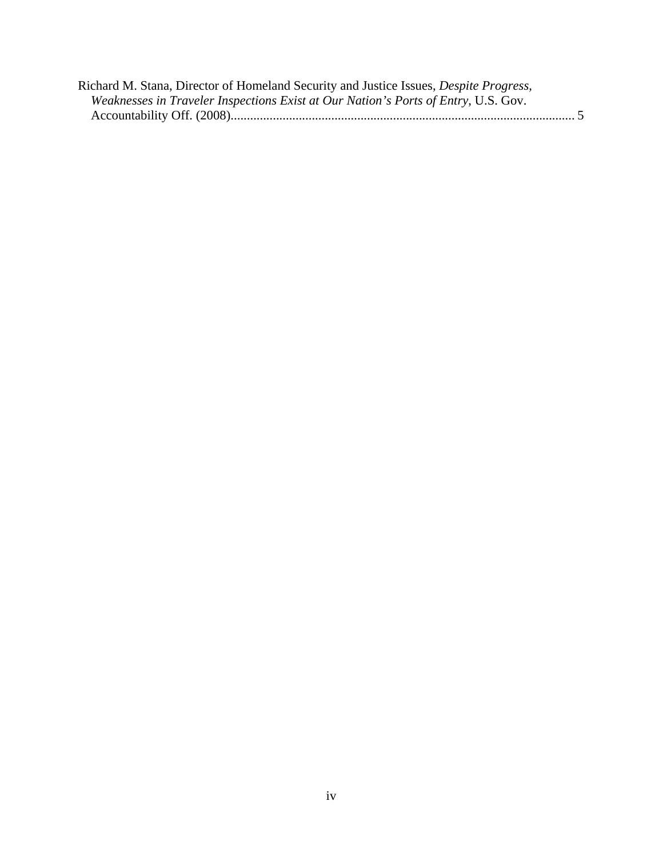| Richard M. Stana, Director of Homeland Security and Justice Issues, Despite Progress, |  |
|---------------------------------------------------------------------------------------|--|
| Weaknesses in Traveler Inspections Exist at Our Nation's Ports of Entry, U.S. Gov.    |  |
|                                                                                       |  |
|                                                                                       |  |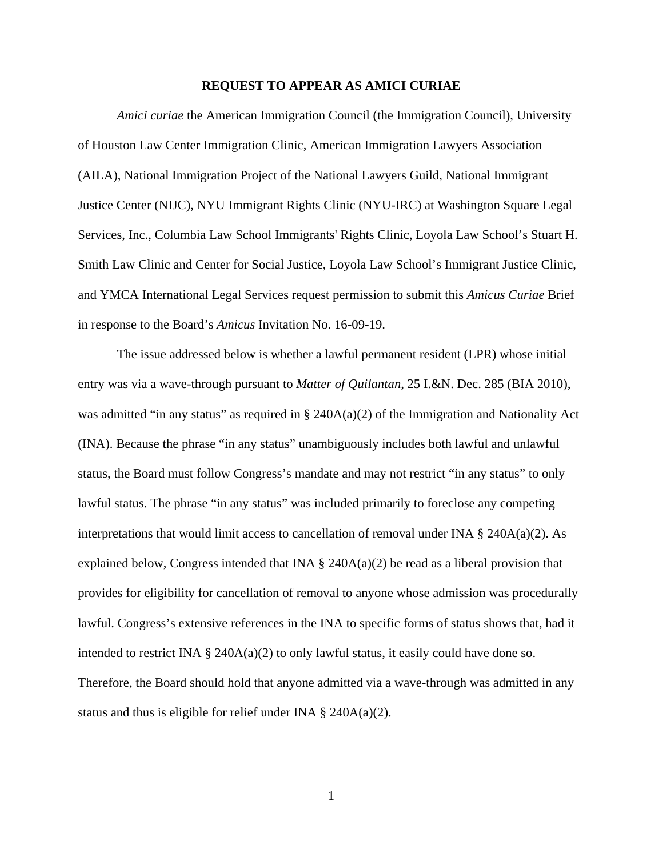#### **REQUEST TO APPEAR AS AMICI CURIAE**

*Amici curiae* the American Immigration Council (the Immigration Council), University of Houston Law Center Immigration Clinic, American Immigration Lawyers Association (AILA), National Immigration Project of the National Lawyers Guild, National Immigrant Justice Center (NIJC), NYU Immigrant Rights Clinic (NYU-IRC) at Washington Square Legal Services, Inc., Columbia Law School Immigrants' Rights Clinic, Loyola Law School's Stuart H. Smith Law Clinic and Center for Social Justice, Loyola Law School's Immigrant Justice Clinic, and YMCA International Legal Services request permission to submit this *Amicus Curiae* Brief in response to the Board's *Amicus* Invitation No. 16-09-19.

The issue addressed below is whether a lawful permanent resident (LPR) whose initial entry was via a wave-through pursuant to *Matter of Quilantan*, 25 I.&N. Dec. 285 (BIA 2010), was admitted "in any status" as required in  $\S$  240A(a)(2) of the Immigration and Nationality Act (INA). Because the phrase "in any status" unambiguously includes both lawful and unlawful status, the Board must follow Congress's mandate and may not restrict "in any status" to only lawful status. The phrase "in any status" was included primarily to foreclose any competing interpretations that would limit access to cancellation of removal under INA  $\S$  240A(a)(2). As explained below, Congress intended that INA  $\S$  240A(a)(2) be read as a liberal provision that provides for eligibility for cancellation of removal to anyone whose admission was procedurally lawful. Congress's extensive references in the INA to specific forms of status shows that, had it intended to restrict INA  $\S$  240A(a)(2) to only lawful status, it easily could have done so. Therefore, the Board should hold that anyone admitted via a wave-through was admitted in any status and thus is eligible for relief under INA  $\S$  240A(a)(2).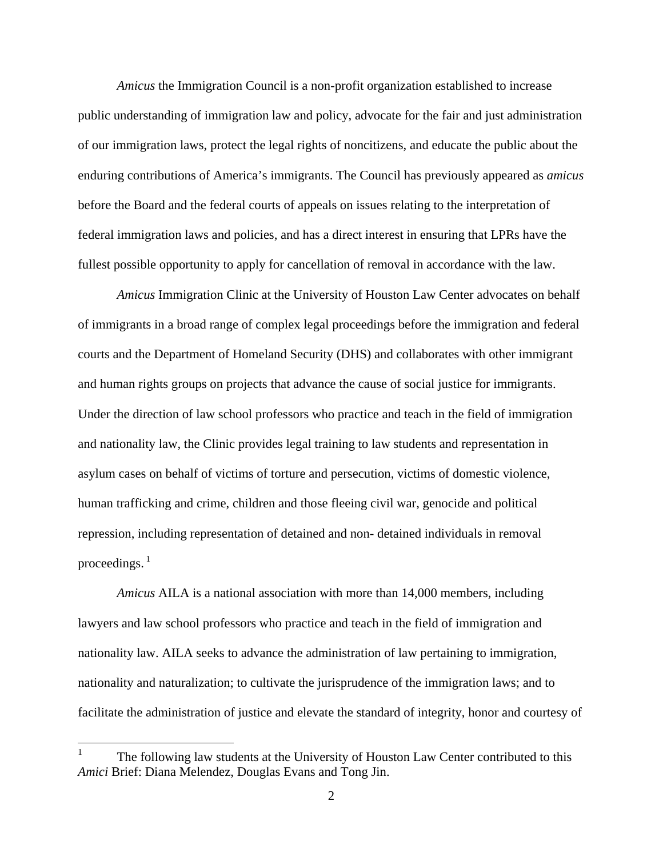*Amicus* the Immigration Council is a non-profit organization established to increase public understanding of immigration law and policy, advocate for the fair and just administration of our immigration laws, protect the legal rights of noncitizens, and educate the public about the enduring contributions of America's immigrants. The Council has previously appeared as *amicus* before the Board and the federal courts of appeals on issues relating to the interpretation of federal immigration laws and policies, and has a direct interest in ensuring that LPRs have the fullest possible opportunity to apply for cancellation of removal in accordance with the law.

*Amicus* Immigration Clinic at the University of Houston Law Center advocates on behalf of immigrants in a broad range of complex legal proceedings before the immigration and federal courts and the Department of Homeland Security (DHS) and collaborates with other immigrant and human rights groups on projects that advance the cause of social justice for immigrants. Under the direction of law school professors who practice and teach in the field of immigration and nationality law, the Clinic provides legal training to law students and representation in asylum cases on behalf of victims of torture and persecution, victims of domestic violence, human trafficking and crime, children and those fleeing civil war, genocide and political repression, including representation of detained and non- detained individuals in removal proceedings. $<sup>1</sup>$ </sup>

*Amicus* AILA is a national association with more than 14,000 members, including lawyers and law school professors who practice and teach in the field of immigration and nationality law. AILA seeks to advance the administration of law pertaining to immigration, nationality and naturalization; to cultivate the jurisprudence of the immigration laws; and to facilitate the administration of justice and elevate the standard of integrity, honor and courtesy of

 $\overline{a}$ 

<sup>1</sup> The following law students at the University of Houston Law Center contributed to this *Amici* Brief: Diana Melendez, Douglas Evans and Tong Jin.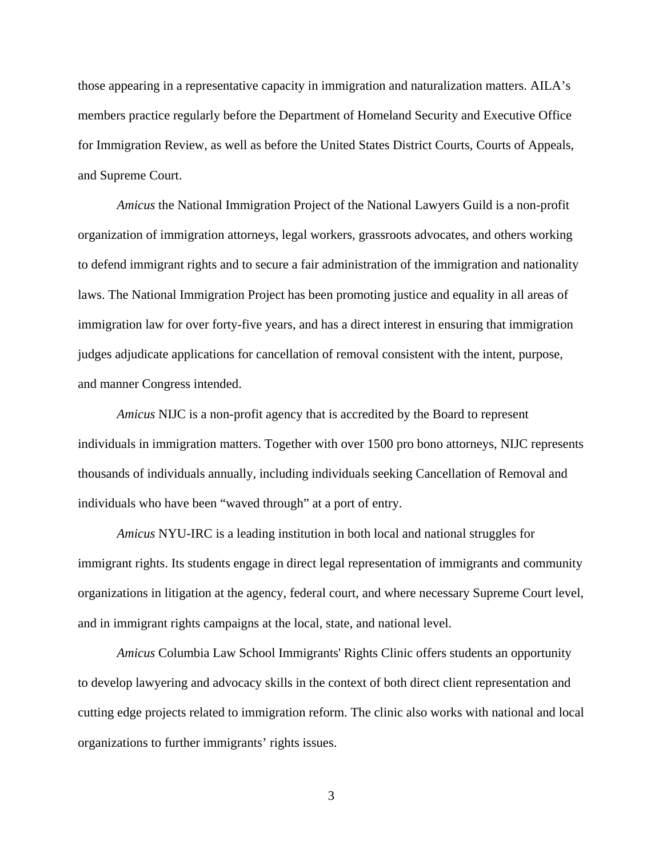those appearing in a representative capacity in immigration and naturalization matters. AILA's members practice regularly before the Department of Homeland Security and Executive Office for Immigration Review, as well as before the United States District Courts, Courts of Appeals, and Supreme Court.

*Amicus* the National Immigration Project of the National Lawyers Guild is a non-profit organization of immigration attorneys, legal workers, grassroots advocates, and others working to defend immigrant rights and to secure a fair administration of the immigration and nationality laws. The National Immigration Project has been promoting justice and equality in all areas of immigration law for over forty-five years, and has a direct interest in ensuring that immigration judges adjudicate applications for cancellation of removal consistent with the intent, purpose, and manner Congress intended.

*Amicus* NIJC is a non-profit agency that is accredited by the Board to represent individuals in immigration matters. Together with over 1500 pro bono attorneys, NIJC represents thousands of individuals annually, including individuals seeking Cancellation of Removal and individuals who have been "waved through" at a port of entry.

*Amicus* NYU-IRC is a leading institution in both local and national struggles for immigrant rights. Its students engage in direct legal representation of immigrants and community organizations in litigation at the agency, federal court, and where necessary Supreme Court level, and in immigrant rights campaigns at the local, state, and national level.

*Amicus* Columbia Law School Immigrants' Rights Clinic offers students an opportunity to develop lawyering and advocacy skills in the context of both direct client representation and cutting edge projects related to immigration reform. The clinic also works with national and local organizations to further immigrants' rights issues.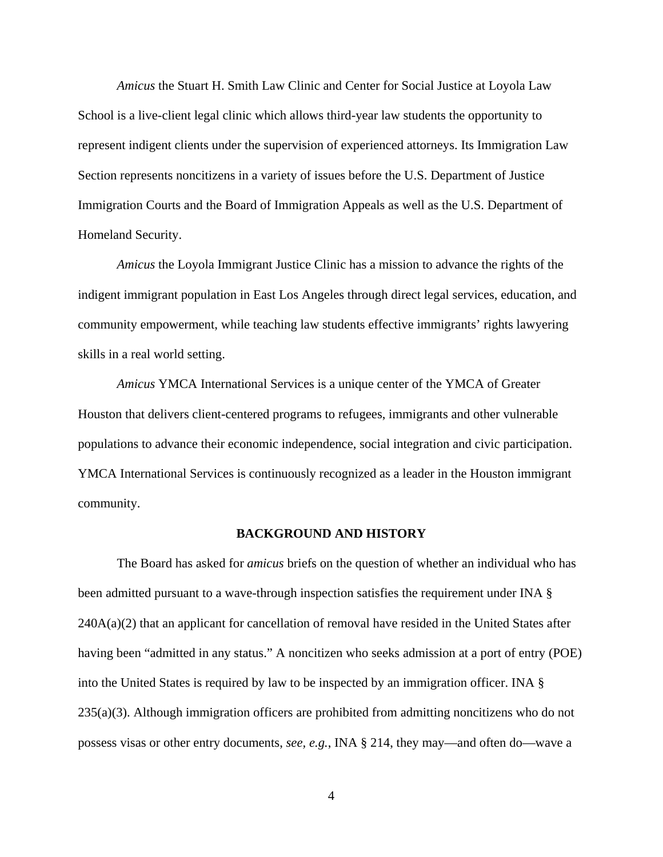*Amicus* the Stuart H. Smith Law Clinic and Center for Social Justice at Loyola Law School is a live-client legal clinic which allows third-year law students the opportunity to represent indigent clients under the supervision of experienced attorneys. Its Immigration Law Section represents noncitizens in a variety of issues before the U.S. Department of Justice Immigration Courts and the Board of Immigration Appeals as well as the U.S. Department of Homeland Security.

*Amicus* the Loyola Immigrant Justice Clinic has a mission to advance the rights of the indigent immigrant population in East Los Angeles through direct legal services, education, and community empowerment, while teaching law students effective immigrants' rights lawyering skills in a real world setting.

*Amicus* YMCA International Services is a unique center of the YMCA of Greater Houston that delivers client-centered programs to refugees, immigrants and other vulnerable populations to advance their economic independence, social integration and civic participation. YMCA International Services is continuously recognized as a leader in the Houston immigrant community.

#### **BACKGROUND AND HISTORY**

The Board has asked for *amicus* briefs on the question of whether an individual who has been admitted pursuant to a wave-through inspection satisfies the requirement under INA §  $240A(a)(2)$  that an applicant for cancellation of removal have resided in the United States after having been "admitted in any status." A noncitizen who seeks admission at a port of entry (POE) into the United States is required by law to be inspected by an immigration officer. INA § 235(a)(3). Although immigration officers are prohibited from admitting noncitizens who do not possess visas or other entry documents, *see, e.g.*, INA § 214, they may—and often do—wave a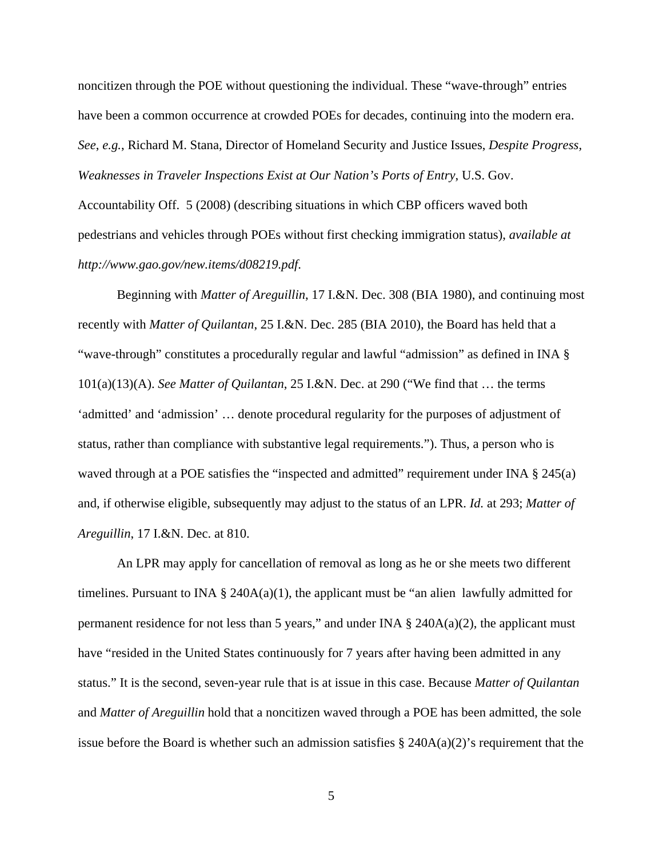noncitizen through the POE without questioning the individual. These "wave-through" entries have been a common occurrence at crowded POEs for decades, continuing into the modern era. *See*, *e.g.*, Richard M. Stana, Director of Homeland Security and Justice Issues, *Despite Progress, Weaknesses in Traveler Inspections Exist at Our Nation's Ports of Entry*, U.S. Gov.

Accountability Off. 5 (2008) (describing situations in which CBP officers waved both pedestrians and vehicles through POEs without first checking immigration status), *available at http://www.gao.gov/new.items/d08219.pdf*.

Beginning with *Matter of Areguillin*, 17 I.&N. Dec. 308 (BIA 1980), and continuing most recently with *Matter of Quilantan*, 25 I.&N. Dec. 285 (BIA 2010), the Board has held that a "wave-through" constitutes a procedurally regular and lawful "admission" as defined in INA § 101(a)(13)(A). *See Matter of Quilantan*, 25 I.&N. Dec. at 290 ("We find that … the terms 'admitted' and 'admission' … denote procedural regularity for the purposes of adjustment of status, rather than compliance with substantive legal requirements."). Thus, a person who is waved through at a POE satisfies the "inspected and admitted" requirement under INA § 245(a) and, if otherwise eligible, subsequently may adjust to the status of an LPR. *Id.* at 293; *Matter of Areguillin*, 17 I.&N. Dec. at 810.

An LPR may apply for cancellation of removal as long as he or she meets two different timelines. Pursuant to INA  $\S$  240A(a)(1), the applicant must be "an alien lawfully admitted for permanent residence for not less than 5 years," and under INA  $\S$  240A(a)(2), the applicant must have "resided in the United States continuously for 7 years after having been admitted in any status." It is the second, seven-year rule that is at issue in this case. Because *Matter of Quilantan* and *Matter of Areguillin* hold that a noncitizen waved through a POE has been admitted, the sole issue before the Board is whether such an admission satisfies § 240A(a)(2)'s requirement that the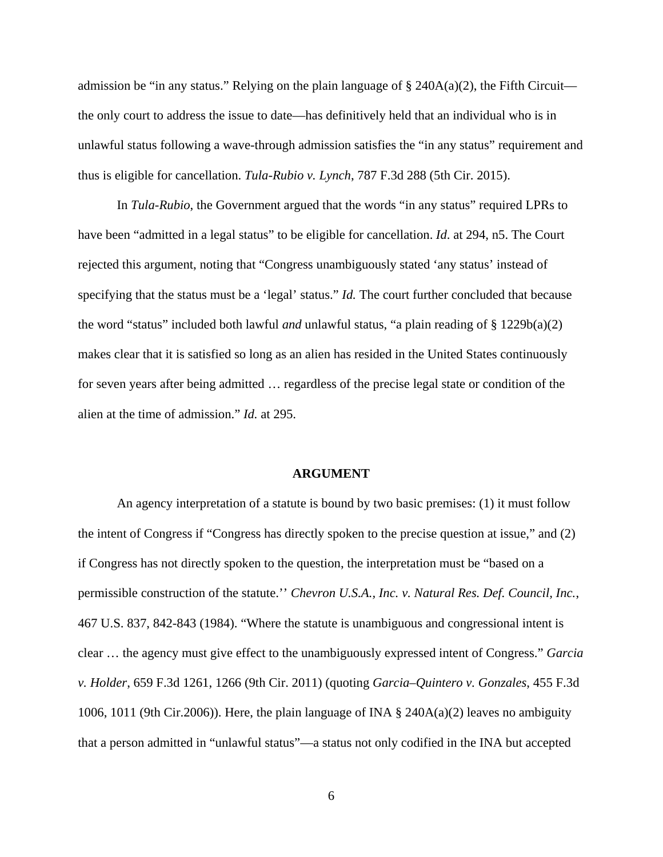admission be "in any status." Relying on the plain language of  $\S$  240A(a)(2), the Fifth Circuit the only court to address the issue to date—has definitively held that an individual who is in unlawful status following a wave-through admission satisfies the "in any status" requirement and thus is eligible for cancellation. *Tula-Rubio v. Lynch*, 787 F.3d 288 (5th Cir. 2015).

In *Tula-Rubio*, the Government argued that the words "in any status" required LPRs to have been "admitted in a legal status" to be eligible for cancellation. *Id*. at 294, n5. The Court rejected this argument, noting that "Congress unambiguously stated 'any status' instead of specifying that the status must be a 'legal' status." *Id.* The court further concluded that because the word "status" included both lawful *and* unlawful status, "a plain reading of § 1229b(a)(2) makes clear that it is satisfied so long as an alien has resided in the United States continuously for seven years after being admitted … regardless of the precise legal state or condition of the alien at the time of admission." *Id.* at 295.

#### **ARGUMENT**

An agency interpretation of a statute is bound by two basic premises: (1) it must follow the intent of Congress if "Congress has directly spoken to the precise question at issue," and (2) if Congress has not directly spoken to the question, the interpretation must be "based on a permissible construction of the statute.'' *Chevron U.S.A., Inc. v. Natural Res. Def. Council, Inc.*, 467 U.S. 837, 842-843 (1984). "Where the statute is unambiguous and congressional intent is clear … the agency must give effect to the unambiguously expressed intent of Congress." *Garcia v. Holder*, 659 F.3d 1261, 1266 (9th Cir. 2011) (quoting *Garcia–Quintero v. Gonzales*, 455 F.3d 1006, 1011 (9th Cir.2006)). Here, the plain language of INA  $\S$  240A(a)(2) leaves no ambiguity that a person admitted in "unlawful status"—a status not only codified in the INA but accepted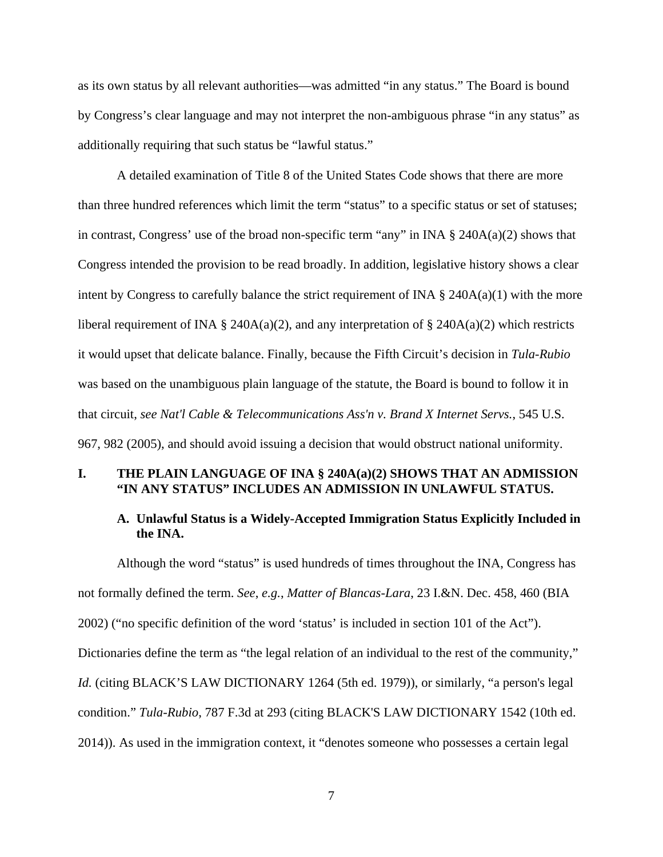as its own status by all relevant authorities—was admitted "in any status." The Board is bound by Congress's clear language and may not interpret the non-ambiguous phrase "in any status" as additionally requiring that such status be "lawful status."

A detailed examination of Title 8 of the United States Code shows that there are more than three hundred references which limit the term "status" to a specific status or set of statuses; in contrast, Congress' use of the broad non-specific term "any" in INA  $\S$  240A(a)(2) shows that Congress intended the provision to be read broadly. In addition, legislative history shows a clear intent by Congress to carefully balance the strict requirement of INA  $\S$  240A(a)(1) with the more liberal requirement of INA § 240A(a)(2), and any interpretation of § 240A(a)(2) which restricts it would upset that delicate balance. Finally, because the Fifth Circuit's decision in *Tula-Rubio* was based on the unambiguous plain language of the statute, the Board is bound to follow it in that circuit, *see Nat'l Cable & Telecommunications Ass'n v. Brand X Internet Servs.*, 545 U.S. 967, 982 (2005), and should avoid issuing a decision that would obstruct national uniformity.

### **I. THE PLAIN LANGUAGE OF INA § 240A(a)(2) SHOWS THAT AN ADMISSION "IN ANY STATUS" INCLUDES AN ADMISSION IN UNLAWFUL STATUS.**

## **A. Unlawful Status is a Widely-Accepted Immigration Status Explicitly Included in the INA.**

Although the word "status" is used hundreds of times throughout the INA, Congress has not formally defined the term. *See*, *e.g.*, *Matter of Blancas-Lara*, 23 I.&N. Dec. 458, 460 (BIA 2002) ("no specific definition of the word 'status' is included in section 101 of the Act"). Dictionaries define the term as "the legal relation of an individual to the rest of the community," *Id.* (citing BLACK'S LAW DICTIONARY 1264 (5th ed. 1979)), or similarly, "a person's legal condition." *Tula-Rubio*, 787 F.3d at 293 (citing BLACK'S LAW DICTIONARY 1542 (10th ed. 2014)). As used in the immigration context, it "denotes someone who possesses a certain legal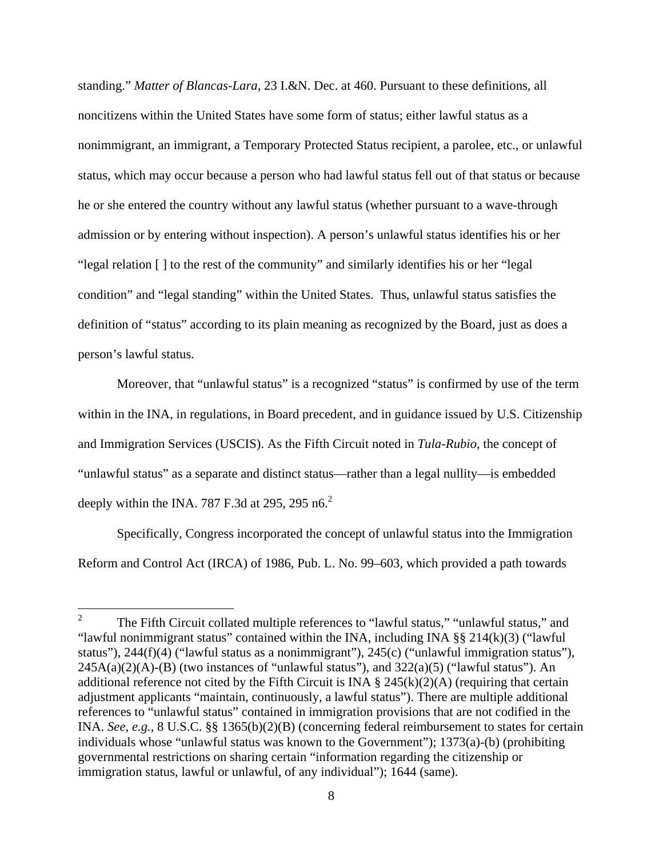standing." *Matter of Blancas-Lara*, 23 I.&N. Dec. at 460. Pursuant to these definitions, all noncitizens within the United States have some form of status; either lawful status as a nonimmigrant, an immigrant, a Temporary Protected Status recipient, a parolee, etc., or unlawful status, which may occur because a person who had lawful status fell out of that status or because he or she entered the country without any lawful status (whether pursuant to a wave-through admission or by entering without inspection). A person's unlawful status identifies his or her "legal relation [ ] to the rest of the community" and similarly identifies his or her "legal condition" and "legal standing" within the United States. Thus, unlawful status satisfies the definition of "status" according to its plain meaning as recognized by the Board, just as does a person's lawful status.

Moreover, that "unlawful status" is a recognized "status" is confirmed by use of the term within in the INA, in regulations, in Board precedent, and in guidance issued by U.S. Citizenship and Immigration Services (USCIS). As the Fifth Circuit noted in *Tula-Rubio*, the concept of "unlawful status" as a separate and distinct status—rather than a legal nullity—is embedded deeply within the INA. 787 F.3d at 295, 295 n6. $^{2}$ 

Specifically, Congress incorporated the concept of unlawful status into the Immigration Reform and Control Act (IRCA) of 1986, Pub. L. No. 99–603, which provided a path towards

 $\frac{1}{2}$  The Fifth Circuit collated multiple references to "lawful status," "unlawful status," and "lawful nonimmigrant status" contained within the INA, including INA  $\S\S 214(k)(3)$  ("lawful status"), 244(f)(4) ("lawful status as a nonimmigrant"), 245(c) ("unlawful immigration status"),  $245A(a)(2)(A)$ -(B) (two instances of "unlawful status"), and  $322(a)(5)$  ("lawful status"). An additional reference not cited by the Fifth Circuit is INA  $\S$  245(k)(2)(A) (requiring that certain adjustment applicants "maintain, continuously, a lawful status"). There are multiple additional references to "unlawful status" contained in immigration provisions that are not codified in the INA. *See*, *e.g.*, 8 U.S.C. §§ 1365(b)(2)(B) (concerning federal reimbursement to states for certain individuals whose "unlawful status was known to the Government"); 1373(a)-(b) (prohibiting governmental restrictions on sharing certain "information regarding the citizenship or immigration status, lawful or unlawful, of any individual"); 1644 (same).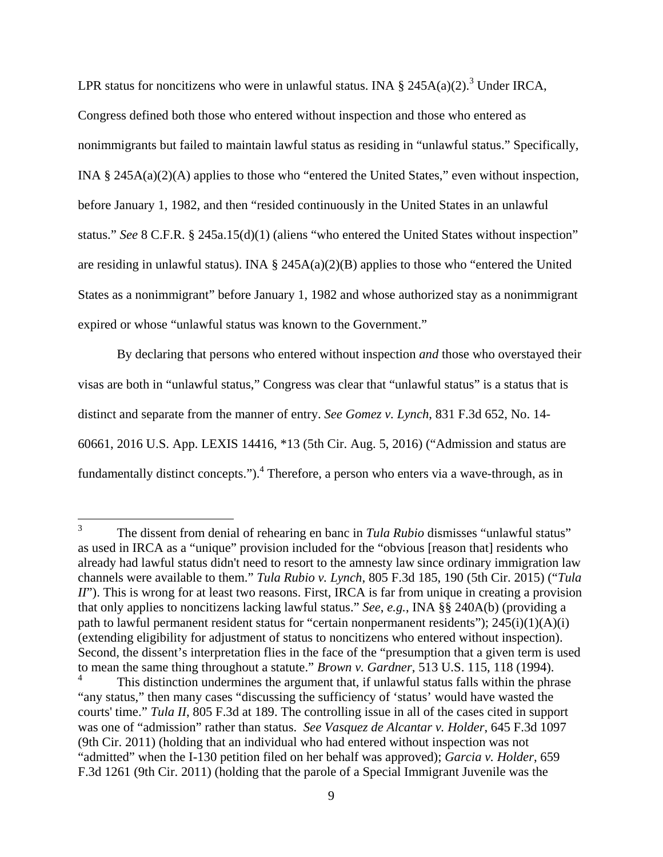LPR status for noncitizens who were in unlawful status. INA  $\S$  245A(a)(2).<sup>3</sup> Under IRCA, Congress defined both those who entered without inspection and those who entered as nonimmigrants but failed to maintain lawful status as residing in "unlawful status." Specifically, INA § 245A(a)(2)(A) applies to those who "entered the United States," even without inspection, before January 1, 1982, and then "resided continuously in the United States in an unlawful status." *See* 8 C.F.R. § 245a.15(d)(1) (aliens "who entered the United States without inspection" are residing in unlawful status). INA  $\S$  245A(a)(2)(B) applies to those who "entered the United States as a nonimmigrant" before January 1, 1982 and whose authorized stay as a nonimmigrant expired or whose "unlawful status was known to the Government."

By declaring that persons who entered without inspection *and* those who overstayed their visas are both in "unlawful status," Congress was clear that "unlawful status" is a status that is distinct and separate from the manner of entry. *See Gomez v. Lynch*, 831 F.3d 652, No. 14- 60661, 2016 U.S. App. LEXIS 14416, \*13 (5th Cir. Aug. 5, 2016) ("Admission and status are fundamentally distinct concepts.").<sup>4</sup> Therefore, a person who enters via a wave-through, as in

 3 The dissent from denial of rehearing en banc in *Tula Rubio* dismisses "unlawful status" as used in IRCA as a "unique" provision included for the "obvious [reason that] residents who already had lawful status didn't need to resort to the amnesty law since ordinary immigration law channels were available to them." *Tula Rubio v. Lynch*, 805 F.3d 185, 190 (5th Cir. 2015) ("*Tula II*"). This is wrong for at least two reasons. First, IRCA is far from unique in creating a provision that only applies to noncitizens lacking lawful status." *See*, *e.g.*, INA §§ 240A(b) (providing a path to lawful permanent resident status for "certain nonpermanent residents"); 245(i)(1)(A)(i) (extending eligibility for adjustment of status to noncitizens who entered without inspection). Second, the dissent's interpretation flies in the face of the "presumption that a given term is used to mean the same thing throughout a statute." *Brown v. Gardner*, 513 U.S. 115, 118 (1994).

<sup>4</sup> This distinction undermines the argument that, if unlawful status falls within the phrase "any status," then many cases "discussing the sufficiency of 'status' would have wasted the courts' time." *Tula II*, 805 F.3d at 189. The controlling issue in all of the cases cited in support was one of "admission" rather than status. *See Vasquez de Alcantar v. Holder*, 645 F.3d 1097 (9th Cir. 2011) (holding that an individual who had entered without inspection was not "admitted" when the I-130 petition filed on her behalf was approved); *Garcia v. Holder*, 659 F.3d 1261 (9th Cir. 2011) (holding that the parole of a Special Immigrant Juvenile was the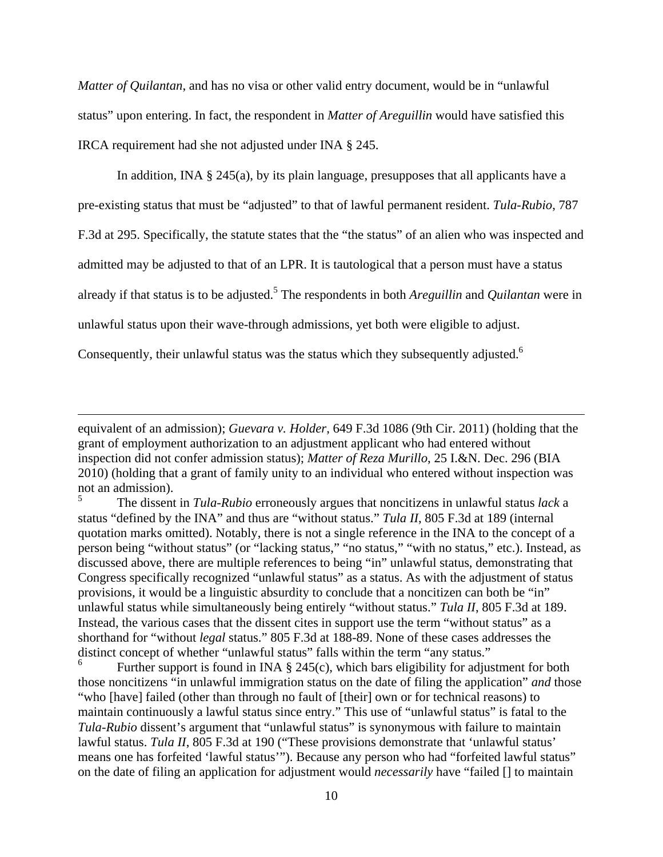*Matter of Quilantan*, and has no visa or other valid entry document, would be in "unlawful status" upon entering. In fact, the respondent in *Matter of Areguillin* would have satisfied this IRCA requirement had she not adjusted under INA § 245.

In addition, INA § 245(a), by its plain language, presupposes that all applicants have a pre-existing status that must be "adjusted" to that of lawful permanent resident. *Tula-Rubio*, 787 F.3d at 295. Specifically, the statute states that the "the status" of an alien who was inspected and admitted may be adjusted to that of an LPR. It is tautological that a person must have a status already if that status is to be adjusted.<sup>5</sup> The respondents in both *Areguillin* and *Quilantan* were in unlawful status upon their wave-through admissions, yet both were eligible to adjust.

Consequently, their unlawful status was the status which they subsequently adjusted.<sup>6</sup>

equivalent of an admission); *Guevara v. Holder*, 649 F.3d 1086 (9th Cir. 2011) (holding that the grant of employment authorization to an adjustment applicant who had entered without inspection did not confer admission status); *Matter of Reza Murillo*, 25 I.&N. Dec. 296 (BIA 2010) (holding that a grant of family unity to an individual who entered without inspection was not an admission).

<sup>5</sup> The dissent in *Tula-Rubio* erroneously argues that noncitizens in unlawful status *lack* a status "defined by the INA" and thus are "without status." *Tula II*, 805 F.3d at 189 (internal quotation marks omitted). Notably, there is not a single reference in the INA to the concept of a person being "without status" (or "lacking status," "no status," "with no status," etc.). Instead, as discussed above, there are multiple references to being "in" unlawful status, demonstrating that Congress specifically recognized "unlawful status" as a status. As with the adjustment of status provisions, it would be a linguistic absurdity to conclude that a noncitizen can both be "in" unlawful status while simultaneously being entirely "without status." *Tula II*, 805 F.3d at 189. Instead, the various cases that the dissent cites in support use the term "without status" as a shorthand for "without *legal* status." 805 F.3d at 188-89. None of these cases addresses the distinct concept of whether "unlawful status" falls within the term "any status."

<sup>6</sup> Further support is found in INA § 245(c), which bars eligibility for adjustment for both those noncitizens "in unlawful immigration status on the date of filing the application" *and* those "who [have] failed (other than through no fault of [their] own or for technical reasons) to maintain continuously a lawful status since entry." This use of "unlawful status" is fatal to the *Tula-Rubio* dissent's argument that "unlawful status" is synonymous with failure to maintain lawful status. *Tula II*, 805 F.3d at 190 ("These provisions demonstrate that 'unlawful status' means one has forfeited 'lawful status'"). Because any person who had "forfeited lawful status" on the date of filing an application for adjustment would *necessarily* have "failed [] to maintain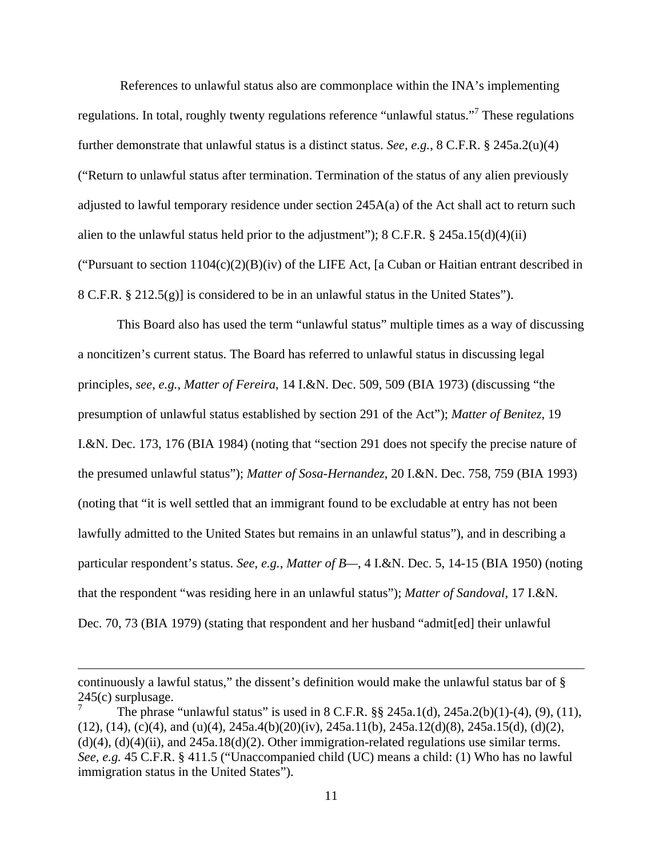References to unlawful status also are commonplace within the INA's implementing regulations. In total, roughly twenty regulations reference "unlawful status."<sup>7</sup> These regulations further demonstrate that unlawful status is a distinct status. *See*, *e.g.*, 8 C.F.R. § 245a.2(u)(4) ("Return to unlawful status after termination. Termination of the status of any alien previously adjusted to lawful temporary residence under section 245A(a) of the Act shall act to return such alien to the unlawful status held prior to the adjustment");  $8 \text{ C.F.R.}$   $\frac{8}{3}$   $245a.15(d)(4)(ii)$ ("Pursuant to section  $1104(c)(2)(B)(iv)$  of the LIFE Act, [a Cuban or Haitian entrant described in 8 C.F.R. § 212.5(g)] is considered to be in an unlawful status in the United States").

This Board also has used the term "unlawful status" multiple times as a way of discussing a noncitizen's current status. The Board has referred to unlawful status in discussing legal principles, *see*, *e.g.*, *Matter of Fereira*, 14 I.&N. Dec. 509, 509 (BIA 1973) (discussing "the presumption of unlawful status established by section 291 of the Act"); *Matter of Benitez*, 19 I.&N. Dec. 173, 176 (BIA 1984) (noting that "section 291 does not specify the precise nature of the presumed unlawful status"); *Matter of Sosa-Hernandez*, 20 I.&N. Dec. 758, 759 (BIA 1993) (noting that "it is well settled that an immigrant found to be excludable at entry has not been lawfully admitted to the United States but remains in an unlawful status"), and in describing a particular respondent's status. *See*, *e.g.*, *Matter of B—*, 4 I.&N. Dec. 5, 14-15 (BIA 1950) (noting that the respondent "was residing here in an unlawful status"); *Matter of Sandoval*, 17 I.&N. Dec. 70, 73 (BIA 1979) (stating that respondent and her husband "admit[ed] their unlawful

 $\overline{a}$ 

continuously a lawful status," the dissent's definition would make the unlawful status bar of §  $245(c)$  surplusage.

The phrase "unlawful status" is used in 8 C.F.R. §§ 245a.1(d), 245a.2(b)(1)-(4), (9), (11),  $(12)$ ,  $(14)$ ,  $(c)(4)$ , and  $(u)(4)$ ,  $245a.4(b)(20)(iv)$ ,  $245a.11(b)$ ,  $245a.12(d)(8)$ ,  $245a.15(d)$ ,  $(d)(2)$ ,  $(d)(4)$ ,  $(d)(4)(ii)$ , and  $245a.18(d)(2)$ . Other immigration-related regulations use similar terms. *See, e.g.* 45 C.F.R. § 411.5 ("Unaccompanied child (UC) means a child: (1) Who has no lawful immigration status in the United States").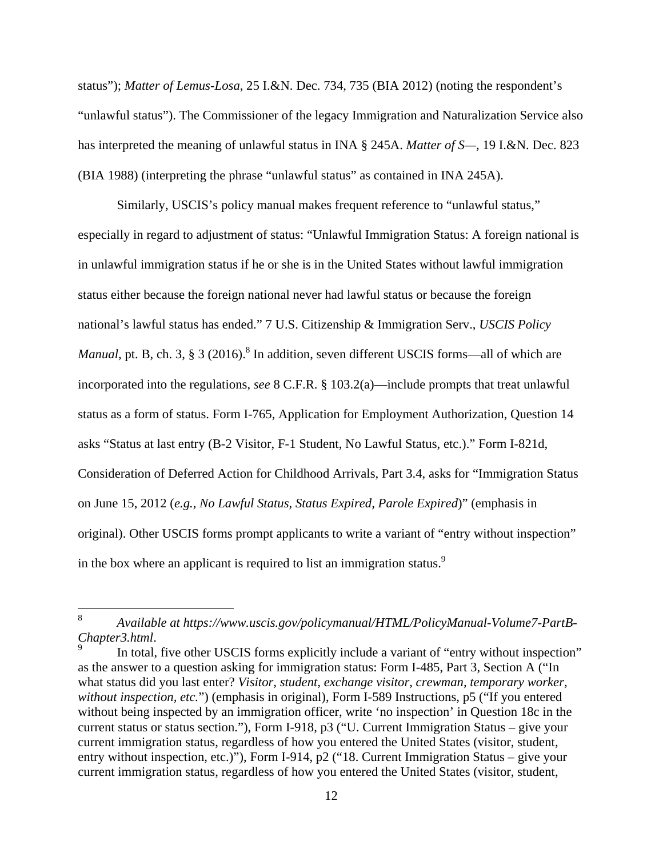status"); *Matter of Lemus-Losa*, 25 I.&N. Dec. 734, 735 (BIA 2012) (noting the respondent's "unlawful status"). The Commissioner of the legacy Immigration and Naturalization Service also has interpreted the meaning of unlawful status in INA § 245A. *Matter of S—*, 19 I.&N. Dec. 823 (BIA 1988) (interpreting the phrase "unlawful status" as contained in INA 245A).

Similarly, USCIS's policy manual makes frequent reference to "unlawful status," especially in regard to adjustment of status: "Unlawful Immigration Status: A foreign national is in unlawful immigration status if he or she is in the United States without lawful immigration status either because the foreign national never had lawful status or because the foreign national's lawful status has ended." 7 U.S. Citizenship & Immigration Serv., *USCIS Policy Manual*, pt. B, ch. 3, § 3 (2016).<sup>8</sup> In addition, seven different USCIS forms—all of which are incorporated into the regulations, *see* 8 C.F.R. § 103.2(a)—include prompts that treat unlawful status as a form of status. Form I-765, Application for Employment Authorization, Question 14 asks "Status at last entry (B-2 Visitor, F-1 Student, No Lawful Status, etc.)." Form I-821d, Consideration of Deferred Action for Childhood Arrivals, Part 3.4, asks for "Immigration Status on June 15, 2012 (*e.g., No Lawful Status, Status Expired, Parole Expired*)" (emphasis in original). Other USCIS forms prompt applicants to write a variant of "entry without inspection" in the box where an applicant is required to list an immigration status.<sup>9</sup>

 8 *Available at https://www.uscis.gov/policymanual/HTML/PolicyManual-Volume7-PartB-Chapter3.html*. 9

In total, five other USCIS forms explicitly include a variant of "entry without inspection" as the answer to a question asking for immigration status: Form I-485, Part 3, Section A ("In what status did you last enter? *Visitor, student, exchange visitor, crewman, temporary worker, without inspection, etc.*") (emphasis in original), Form I-589 Instructions, p5 ("If you entered without being inspected by an immigration officer, write 'no inspection' in Question 18c in the current status or status section."), Form I-918, p3 ("U. Current Immigration Status – give your current immigration status, regardless of how you entered the United States (visitor, student, entry without inspection, etc.)"), Form I-914, p2 ("18. Current Immigration Status – give your current immigration status, regardless of how you entered the United States (visitor, student,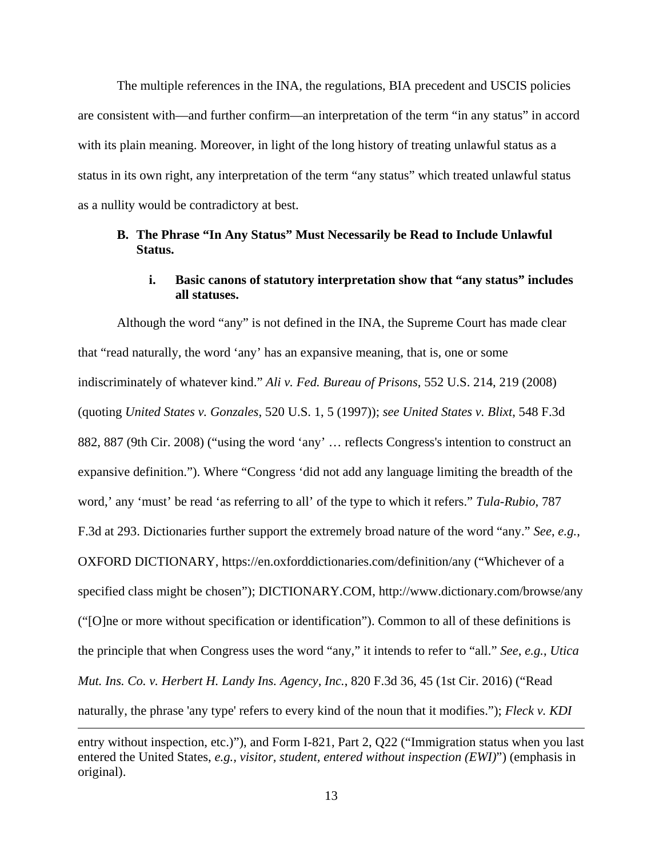The multiple references in the INA, the regulations, BIA precedent and USCIS policies are consistent with—and further confirm—an interpretation of the term "in any status" in accord with its plain meaning. Moreover, in light of the long history of treating unlawful status as a status in its own right, any interpretation of the term "any status" which treated unlawful status as a nullity would be contradictory at best.

## **B. The Phrase "In Any Status" Must Necessarily be Read to Include Unlawful Status.**

## **i. Basic canons of statutory interpretation show that "any status" includes all statuses.**

Although the word "any" is not defined in the INA, the Supreme Court has made clear that "read naturally, the word 'any' has an expansive meaning, that is, one or some indiscriminately of whatever kind." *Ali v. Fed. Bureau of Prisons*, 552 U.S. 214, 219 (2008) (quoting *United States v. Gonzales*, 520 U.S. 1, 5 (1997)); *see United States v. Blixt*, 548 F.3d 882, 887 (9th Cir. 2008) ("using the word 'any' … reflects Congress's intention to construct an expansive definition."). Where "Congress 'did not add any language limiting the breadth of the word,' any 'must' be read 'as referring to all' of the type to which it refers." *Tula-Rubio*, 787 F.3d at 293. Dictionaries further support the extremely broad nature of the word "any." *See*, *e.g.*, OXFORD DICTIONARY, https://en.oxforddictionaries.com/definition/any ("Whichever of a specified class might be chosen"); DICTIONARY.COM, http://www.dictionary.com/browse/any ("[O]ne or more without specification or identification"). Common to all of these definitions is the principle that when Congress uses the word "any," it intends to refer to "all." *See*, *e.g.*, *Utica Mut. Ins. Co. v. Herbert H. Landy Ins. Agency, Inc.*, 820 F.3d 36, 45 (1st Cir. 2016) ("Read naturally, the phrase 'any type' refers to every kind of the noun that it modifies."); *Fleck v. KDI* 

entry without inspection, etc.)"), and Form I-821, Part 2, Q22 ("Immigration status when you last entered the United States, *e.g., visitor, student, entered without inspection (EWI)*") (emphasis in original).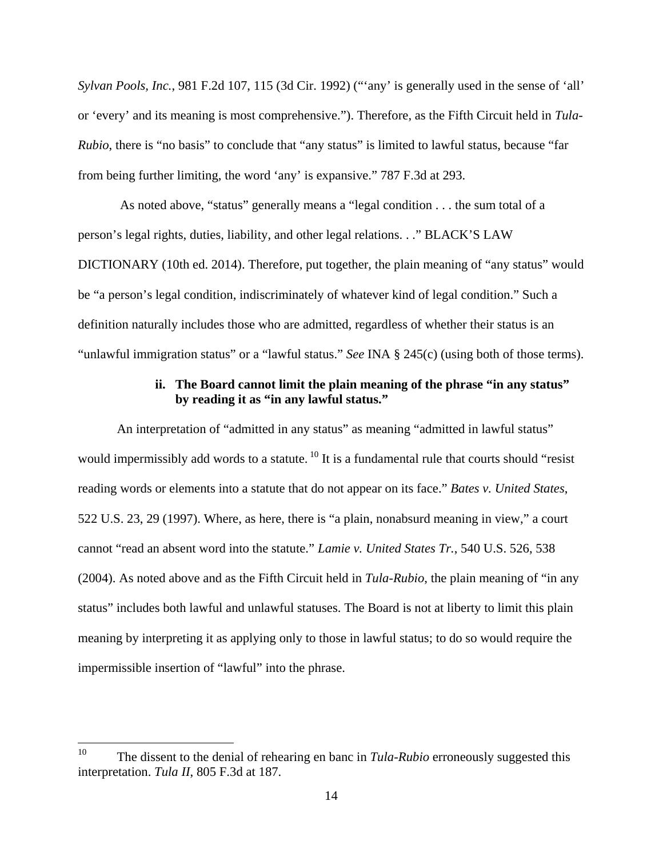*Sylvan Pools, Inc.*, 981 F.2d 107, 115 (3d Cir. 1992) ("'any' is generally used in the sense of 'all' or 'every' and its meaning is most comprehensive."). Therefore, as the Fifth Circuit held in *Tula-Rubio*, there is "no basis" to conclude that "any status" is limited to lawful status, because "far from being further limiting, the word 'any' is expansive." 787 F.3d at 293.

 As noted above, "status" generally means a "legal condition . . . the sum total of a person's legal rights, duties, liability, and other legal relations. . ." BLACK'S LAW DICTIONARY (10th ed. 2014). Therefore, put together, the plain meaning of "any status" would be "a person's legal condition, indiscriminately of whatever kind of legal condition." Such a definition naturally includes those who are admitted, regardless of whether their status is an "unlawful immigration status" or a "lawful status." *See* INA § 245(c) (using both of those terms).

### **ii. The Board cannot limit the plain meaning of the phrase "in any status" by reading it as "in any lawful status."**

An interpretation of "admitted in any status" as meaning "admitted in lawful status" would impermissibly add words to a statute.<sup>10</sup> It is a fundamental rule that courts should "resist reading words or elements into a statute that do not appear on its face." *Bates v. United States*, 522 U.S. 23, 29 (1997). Where, as here, there is "a plain, nonabsurd meaning in view," a court cannot "read an absent word into the statute." *Lamie v. United States Tr.*, 540 U.S. 526, 538 (2004). As noted above and as the Fifth Circuit held in *Tula-Rubio*, the plain meaning of "in any status" includes both lawful and unlawful statuses. The Board is not at liberty to limit this plain meaning by interpreting it as applying only to those in lawful status; to do so would require the impermissible insertion of "lawful" into the phrase.

<sup>10</sup> The dissent to the denial of rehearing en banc in *Tula-Rubio* erroneously suggested this interpretation. *Tula II*, 805 F.3d at 187.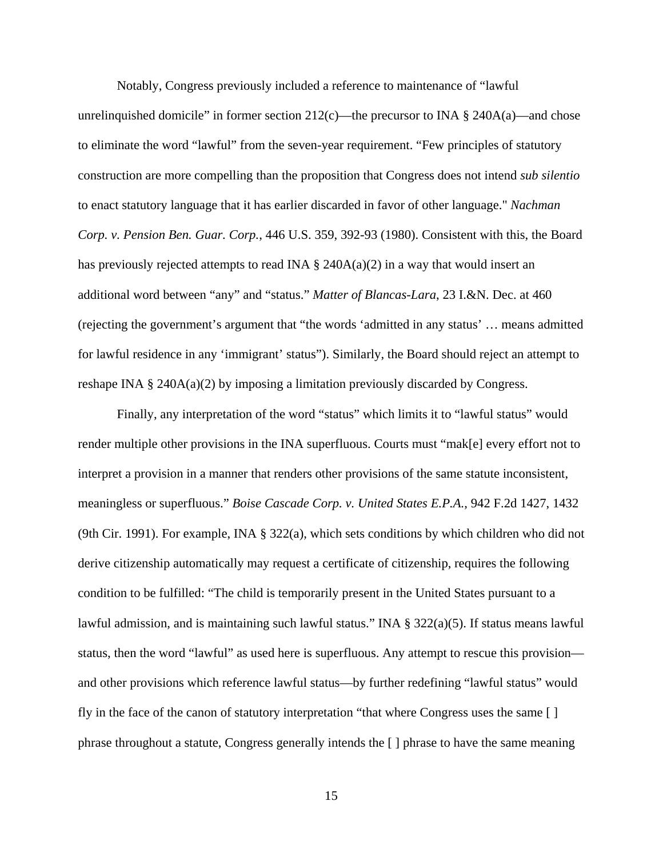Notably, Congress previously included a reference to maintenance of "lawful unrelinquished domicile" in former section  $212(c)$ —the precursor to INA § 240A(a)—and chose to eliminate the word "lawful" from the seven-year requirement. "Few principles of statutory construction are more compelling than the proposition that Congress does not intend *sub silentio* to enact statutory language that it has earlier discarded in favor of other language." *Nachman Corp. v. Pension Ben. Guar. Corp.*, 446 U.S. 359, 392-93 (1980). Consistent with this, the Board has previously rejected attempts to read INA  $\S$  240A(a)(2) in a way that would insert an additional word between "any" and "status." *Matter of Blancas-Lara*, 23 I.&N. Dec. at 460 (rejecting the government's argument that "the words 'admitted in any status' … means admitted for lawful residence in any 'immigrant' status"). Similarly, the Board should reject an attempt to reshape INA  $\S$  240A(a)(2) by imposing a limitation previously discarded by Congress.

Finally, any interpretation of the word "status" which limits it to "lawful status" would render multiple other provisions in the INA superfluous. Courts must "mak[e] every effort not to interpret a provision in a manner that renders other provisions of the same statute inconsistent, meaningless or superfluous." *Boise Cascade Corp. v. United States E.P.A.*, 942 F.2d 1427, 1432 (9th Cir. 1991). For example, INA § 322(a), which sets conditions by which children who did not derive citizenship automatically may request a certificate of citizenship, requires the following condition to be fulfilled: "The child is temporarily present in the United States pursuant to a lawful admission, and is maintaining such lawful status." INA  $\S$  322(a)(5). If status means lawful status, then the word "lawful" as used here is superfluous. Any attempt to rescue this provision and other provisions which reference lawful status—by further redefining "lawful status" would fly in the face of the canon of statutory interpretation "that where Congress uses the same [ ] phrase throughout a statute, Congress generally intends the [ ] phrase to have the same meaning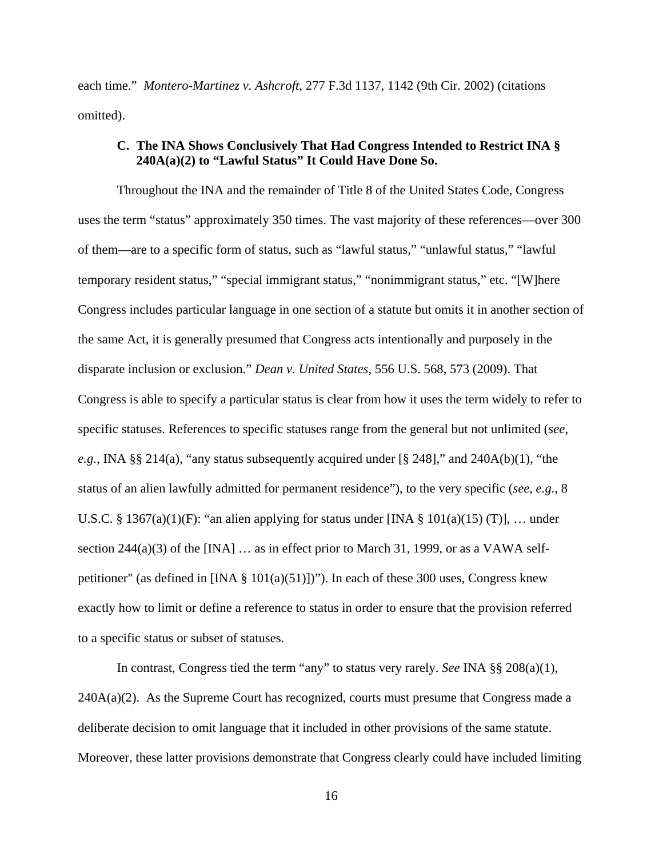each time." *Montero-Martinez v. Ashcroft*, 277 F.3d 1137, 1142 (9th Cir. 2002) (citations omitted).

## **C. The INA Shows Conclusively That Had Congress Intended to Restrict INA § 240A(a)(2) to "Lawful Status" It Could Have Done So.**

Throughout the INA and the remainder of Title 8 of the United States Code, Congress uses the term "status" approximately 350 times. The vast majority of these references—over 300 of them—are to a specific form of status, such as "lawful status," "unlawful status," "lawful temporary resident status," "special immigrant status," "nonimmigrant status," etc. "[W]here Congress includes particular language in one section of a statute but omits it in another section of the same Act, it is generally presumed that Congress acts intentionally and purposely in the disparate inclusion or exclusion." *Dean v. United States*, 556 U.S. 568, 573 (2009). That Congress is able to specify a particular status is clear from how it uses the term widely to refer to specific statuses. References to specific statuses range from the general but not unlimited (*see*, *e.g.*, INA §§ 214(a), "any status subsequently acquired under [§ 248]," and 240A(b)(1), "the status of an alien lawfully admitted for permanent residence"), to the very specific (*see*, *e.g.*, 8 U.S.C. § 1367(a)(1)(F): "an alien applying for status under [INA § 101(a)(15) (T)], ... under section  $244(a)(3)$  of the [INA] ... as in effect prior to March 31, 1999, or as a VAWA selfpetitioner" (as defined in  $[INA \S 101(a)(51)]$ )"). In each of these 300 uses, Congress knew exactly how to limit or define a reference to status in order to ensure that the provision referred to a specific status or subset of statuses.

In contrast, Congress tied the term "any" to status very rarely. *See* INA §§ 208(a)(1),  $240A(a)(2)$ . As the Supreme Court has recognized, courts must presume that Congress made a deliberate decision to omit language that it included in other provisions of the same statute. Moreover, these latter provisions demonstrate that Congress clearly could have included limiting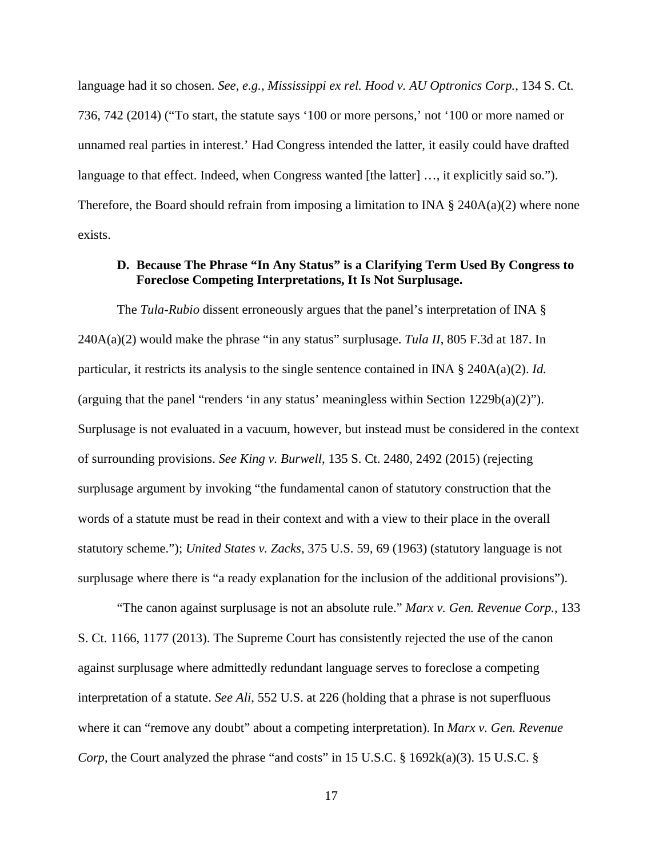language had it so chosen. *See*, *e.g.*, *Mississippi ex rel. Hood v. AU Optronics Corp.*, 134 S. Ct. 736, 742 (2014) ("To start, the statute says '100 or more persons,' not '100 or more named or unnamed real parties in interest.' Had Congress intended the latter, it easily could have drafted language to that effect. Indeed, when Congress wanted [the latter] ..., it explicitly said so."). Therefore, the Board should refrain from imposing a limitation to INA  $\S$  240A(a)(2) where none exists.

## **D. Because The Phrase "In Any Status" is a Clarifying Term Used By Congress to Foreclose Competing Interpretations, It Is Not Surplusage.**

The *Tula-Rubio* dissent erroneously argues that the panel's interpretation of INA § 240A(a)(2) would make the phrase "in any status" surplusage. *Tula II*, 805 F.3d at 187. In particular, it restricts its analysis to the single sentence contained in INA § 240A(a)(2). *Id.* (arguing that the panel "renders 'in any status' meaningless within Section 1229b(a)(2)"). Surplusage is not evaluated in a vacuum, however, but instead must be considered in the context of surrounding provisions. *See King v. Burwell*, 135 S. Ct. 2480, 2492 (2015) (rejecting surplusage argument by invoking "the fundamental canon of statutory construction that the words of a statute must be read in their context and with a view to their place in the overall statutory scheme."); *United States v. Zacks*, 375 U.S. 59, 69 (1963) (statutory language is not surplusage where there is "a ready explanation for the inclusion of the additional provisions").

"The canon against surplusage is not an absolute rule." *Marx v. Gen. Revenue Corp.*, 133 S. Ct. 1166, 1177 (2013). The Supreme Court has consistently rejected the use of the canon against surplusage where admittedly redundant language serves to foreclose a competing interpretation of a statute. *See Ali*, 552 U.S. at 226 (holding that a phrase is not superfluous where it can "remove any doubt" about a competing interpretation). In *Marx v. Gen. Revenue Corp*, the Court analyzed the phrase "and costs" in 15 U.S.C. § 1692k(a)(3). 15 U.S.C. §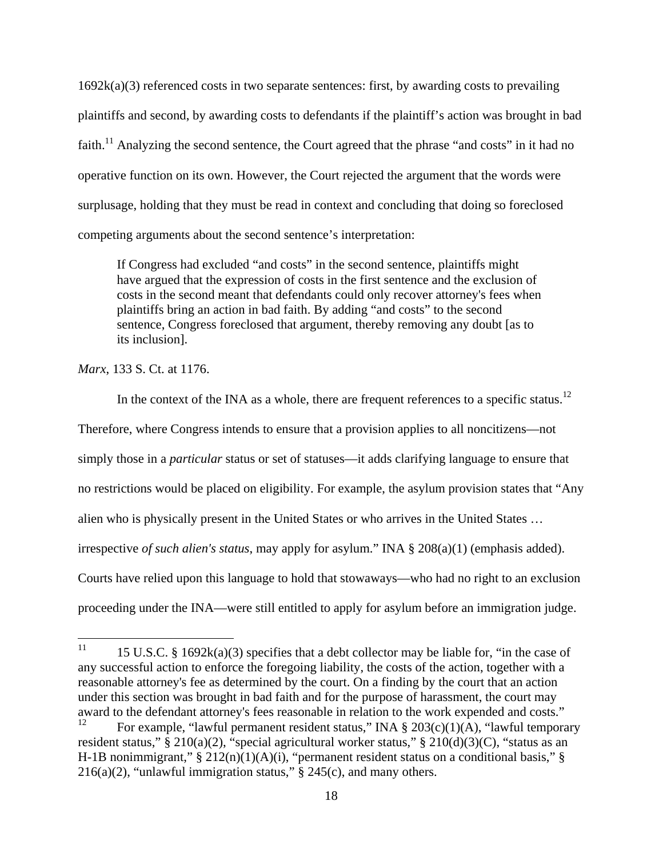$1692k(a)(3)$  referenced costs in two separate sentences: first, by awarding costs to prevailing plaintiffs and second, by awarding costs to defendants if the plaintiff's action was brought in bad faith.<sup>11</sup> Analyzing the second sentence, the Court agreed that the phrase "and costs" in it had no operative function on its own. However, the Court rejected the argument that the words were surplusage, holding that they must be read in context and concluding that doing so foreclosed competing arguments about the second sentence's interpretation:

If Congress had excluded "and costs" in the second sentence, plaintiffs might have argued that the expression of costs in the first sentence and the exclusion of costs in the second meant that defendants could only recover attorney's fees when plaintiffs bring an action in bad faith. By adding "and costs" to the second sentence, Congress foreclosed that argument, thereby removing any doubt [as to its inclusion].

*Marx*, 133 S. Ct. at 1176.

In the context of the INA as a whole, there are frequent references to a specific status.<sup>12</sup> Therefore, where Congress intends to ensure that a provision applies to all noncitizens—not simply those in a *particular* status or set of statuses—it adds clarifying language to ensure that no restrictions would be placed on eligibility. For example, the asylum provision states that "Any alien who is physically present in the United States or who arrives in the United States … irrespective *of such alien's status*, may apply for asylum." INA § 208(a)(1) (emphasis added). Courts have relied upon this language to hold that stowaways—who had no right to an exclusion proceeding under the INA—were still entitled to apply for asylum before an immigration judge.

 $11$ 15 U.S.C. § 1692 $k(a)(3)$  specifies that a debt collector may be liable for, "in the case of any successful action to enforce the foregoing liability, the costs of the action, together with a reasonable attorney's fee as determined by the court. On a finding by the court that an action under this section was brought in bad faith and for the purpose of harassment, the court may award to the defendant attorney's fees reasonable in relation to the work expended and costs."

For example, "lawful permanent resident status," INA  $\S 203(c)(1)(A)$ , "lawful temporary resident status," § 210(a)(2), "special agricultural worker status," § 210(d)(3)(C), "status as an H-1B nonimmigrant,"  $\S 212(n)(1)(A)(i)$ , "permanent resident status on a conditional basis,"  $\S$ 216(a)(2), "unlawful immigration status,"  $\S$  245(c), and many others.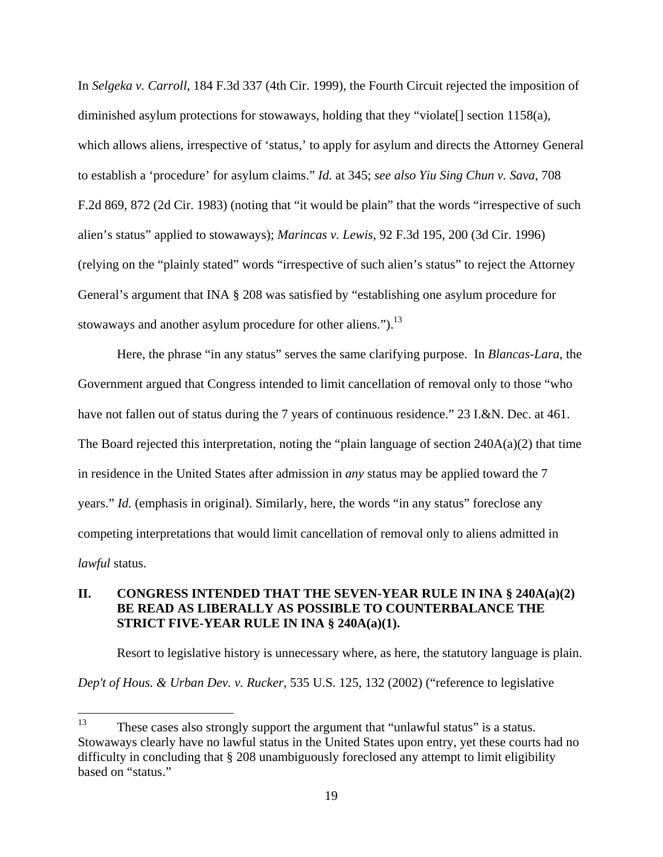In *Selgeka v. Carroll*, 184 F.3d 337 (4th Cir. 1999), the Fourth Circuit rejected the imposition of diminished asylum protections for stowaways, holding that they "violate" section  $1158(a)$ , which allows aliens, irrespective of 'status,' to apply for asylum and directs the Attorney General to establish a 'procedure' for asylum claims." *Id.* at 345; *see also Yiu Sing Chun v. Sava*, 708 F.2d 869, 872 (2d Cir. 1983) (noting that "it would be plain" that the words "irrespective of such alien's status" applied to stowaways); *Marincas v. Lewis*, 92 F.3d 195, 200 (3d Cir. 1996) (relying on the "plainly stated" words "irrespective of such alien's status" to reject the Attorney General's argument that INA § 208 was satisfied by "establishing one asylum procedure for stowaways and another asylum procedure for other aliens." $b^{13}$ .

Here, the phrase "in any status" serves the same clarifying purpose. In *Blancas-Lara*, the Government argued that Congress intended to limit cancellation of removal only to those "who have not fallen out of status during the 7 years of continuous residence." 23 I.&N. Dec. at 461. The Board rejected this interpretation, noting the "plain language of section  $240A(a)(2)$  that time in residence in the United States after admission in *any* status may be applied toward the 7 years." *Id.* (emphasis in original). Similarly, here, the words "in any status" foreclose any competing interpretations that would limit cancellation of removal only to aliens admitted in *lawful* status.

## **II. CONGRESS INTENDED THAT THE SEVEN-YEAR RULE IN INA § 240A(a)(2) BE READ AS LIBERALLY AS POSSIBLE TO COUNTERBALANCE THE STRICT FIVE-YEAR RULE IN INA § 240A(a)(1).**

Resort to legislative history is unnecessary where, as here, the statutory language is plain. *Dep't of Hous. & Urban Dev. v. Rucker*, 535 U.S. 125, 132 (2002) ("reference to legislative

<sup>13</sup> These cases also strongly support the argument that "unlawful status" is a status. Stowaways clearly have no lawful status in the United States upon entry, yet these courts had no difficulty in concluding that § 208 unambiguously foreclosed any attempt to limit eligibility based on "status."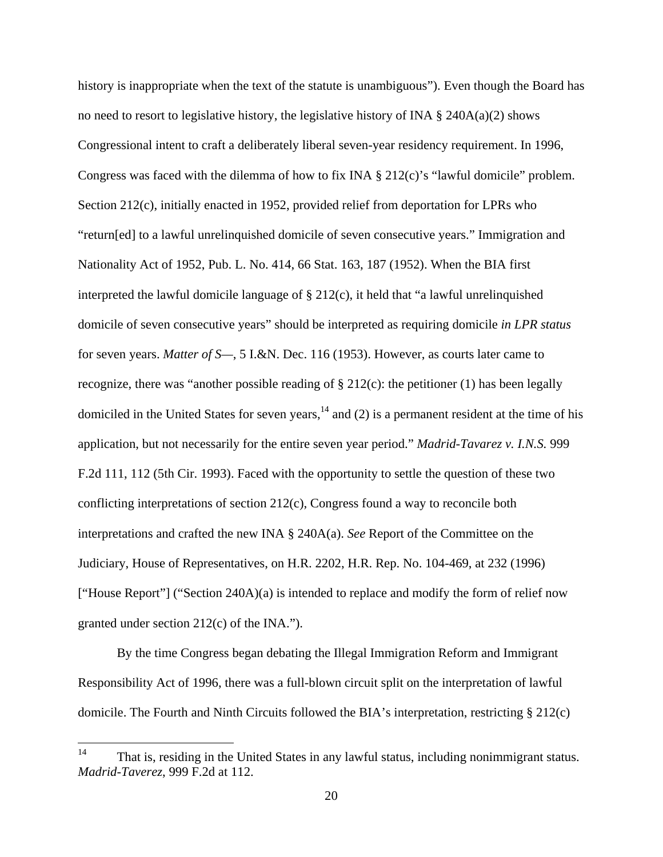history is inappropriate when the text of the statute is unambiguous"). Even though the Board has no need to resort to legislative history, the legislative history of INA  $\S$  240A(a)(2) shows Congressional intent to craft a deliberately liberal seven-year residency requirement. In 1996, Congress was faced with the dilemma of how to fix INA § 212(c)'s "lawful domicile" problem. Section 212(c), initially enacted in 1952, provided relief from deportation for LPRs who "return[ed] to a lawful unrelinquished domicile of seven consecutive years." Immigration and Nationality Act of 1952, Pub. L. No. 414, 66 Stat. 163, 187 (1952). When the BIA first interpreted the lawful domicile language of § 212(c), it held that "a lawful unrelinquished domicile of seven consecutive years" should be interpreted as requiring domicile *in LPR status* for seven years. *Matter of S—*, 5 I.&N. Dec. 116 (1953). However, as courts later came to recognize, there was "another possible reading of  $\S 212(c)$ : the petitioner (1) has been legally domiciled in the United States for seven years,  $14$  and (2) is a permanent resident at the time of his application, but not necessarily for the entire seven year period." *Madrid-Tavarez v. I.N.S.* 999 F.2d 111, 112 (5th Cir. 1993). Faced with the opportunity to settle the question of these two conflicting interpretations of section 212(c), Congress found a way to reconcile both interpretations and crafted the new INA § 240A(a). *See* Report of the Committee on the Judiciary, House of Representatives, on H.R. 2202, H.R. Rep. No. 104-469, at 232 (1996) ["House Report"] ("Section 240A)(a) is intended to replace and modify the form of relief now granted under section 212(c) of the INA.").

By the time Congress began debating the Illegal Immigration Reform and Immigrant Responsibility Act of 1996, there was a full-blown circuit split on the interpretation of lawful domicile. The Fourth and Ninth Circuits followed the BIA's interpretation, restricting § 212(c)

<sup>14</sup> That is, residing in the United States in any lawful status, including nonimmigrant status. *Madrid-Taverez*, 999 F.2d at 112.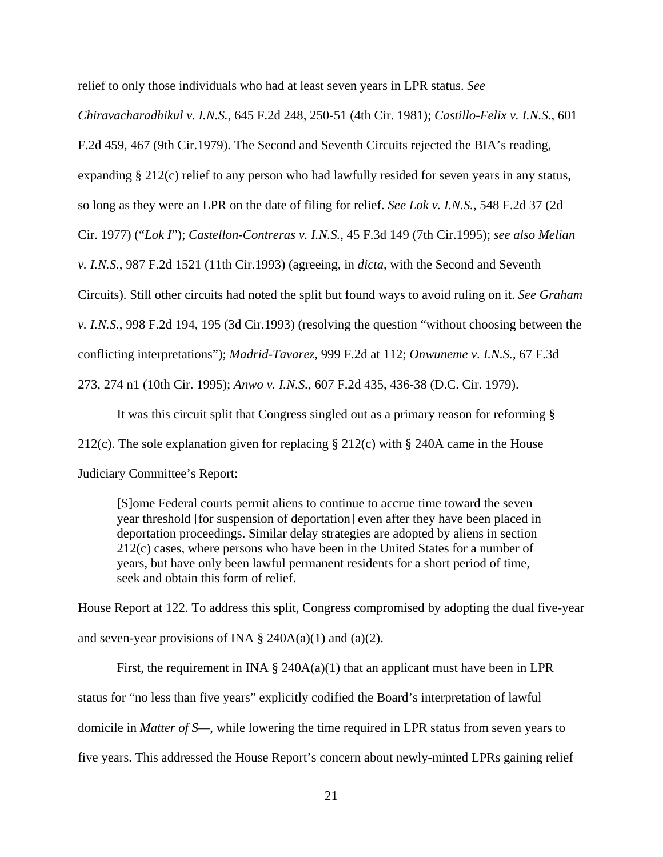relief to only those individuals who had at least seven years in LPR status. *See* 

F.2d 459, 467 (9th Cir.1979). The Second and Seventh Circuits rejected the BIA's reading, expanding § 212(c) relief to any person who had lawfully resided for seven years in any status, so long as they were an LPR on the date of filing for relief. *See Lok v. I.N.S.*, 548 F.2d 37 (2d Cir. 1977) ("*Lok I*"); *Castellon-Contreras v. I.N.S.*, 45 F.3d 149 (7th Cir.1995); *see also Melian v. I.N.S.*, 987 F.2d 1521 (11th Cir.1993) (agreeing, in *dicta*, with the Second and Seventh Circuits). Still other circuits had noted the split but found ways to avoid ruling on it. *See Graham v. I.N.S.*, 998 F.2d 194, 195 (3d Cir.1993) (resolving the question "without choosing between the conflicting interpretations"); *Madrid-Tavarez*, 999 F.2d at 112; *Onwuneme v. I.N.S.*, 67 F.3d 273, 274 n1 (10th Cir. 1995); *Anwo v. I.N.S.*, 607 F.2d 435, 436-38 (D.C. Cir. 1979).

*Chiravacharadhikul v. I.N.S.*, 645 F.2d 248, 250-51 (4th Cir. 1981); *Castillo-Felix v. I.N.S.*, 601

It was this circuit split that Congress singled out as a primary reason for reforming § 212(c). The sole explanation given for replacing § 212(c) with § 240A came in the House Judiciary Committee's Report:

[S]ome Federal courts permit aliens to continue to accrue time toward the seven year threshold [for suspension of deportation] even after they have been placed in deportation proceedings. Similar delay strategies are adopted by aliens in section 212(c) cases, where persons who have been in the United States for a number of years, but have only been lawful permanent residents for a short period of time, seek and obtain this form of relief.

House Report at 122. To address this split, Congress compromised by adopting the dual five-year and seven-year provisions of INA  $\S$  240A(a)(1) and (a)(2).

First, the requirement in INA  $\S$  240A(a)(1) that an applicant must have been in LPR status for "no less than five years" explicitly codified the Board's interpretation of lawful domicile in *Matter of S—*, while lowering the time required in LPR status from seven years to five years. This addressed the House Report's concern about newly-minted LPRs gaining relief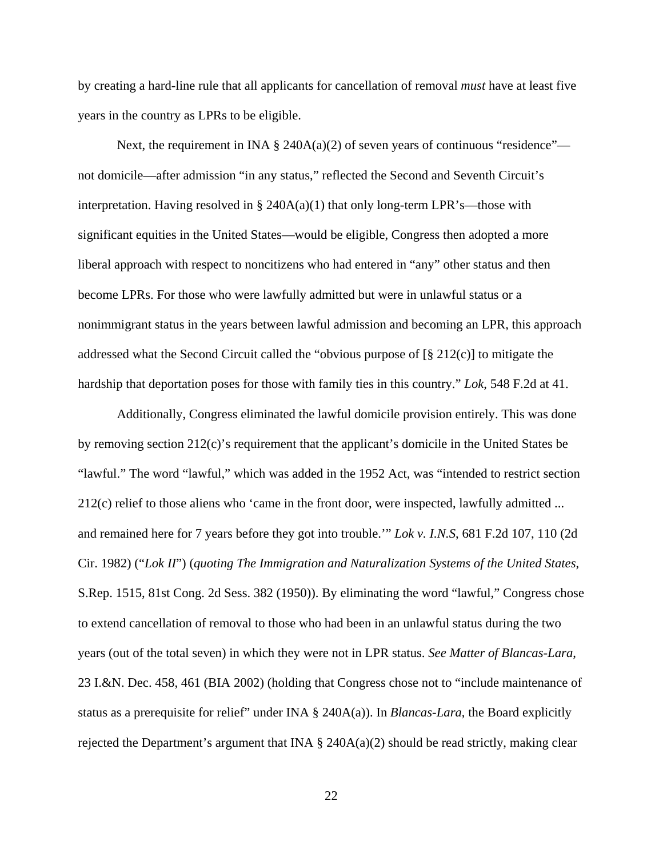by creating a hard-line rule that all applicants for cancellation of removal *must* have at least five years in the country as LPRs to be eligible.

Next, the requirement in INA § 240A(a)(2) of seven years of continuous "residence" not domicile—after admission "in any status," reflected the Second and Seventh Circuit's interpretation. Having resolved in § 240A(a)(1) that only long-term LPR's—those with significant equities in the United States—would be eligible, Congress then adopted a more liberal approach with respect to noncitizens who had entered in "any" other status and then become LPRs. For those who were lawfully admitted but were in unlawful status or a nonimmigrant status in the years between lawful admission and becoming an LPR, this approach addressed what the Second Circuit called the "obvious purpose of  $\lbrack \S 212(c) \rbrack$  to mitigate the hardship that deportation poses for those with family ties in this country." *Lok*, 548 F.2d at 41.

Additionally, Congress eliminated the lawful domicile provision entirely. This was done by removing section 212(c)'s requirement that the applicant's domicile in the United States be "lawful." The word "lawful," which was added in the 1952 Act, was "intended to restrict section 212(c) relief to those aliens who 'came in the front door, were inspected, lawfully admitted ... and remained here for 7 years before they got into trouble.'" *Lok v. I.N.S*, 681 F.2d 107, 110 (2d Cir. 1982) ("*Lok II*") (*quoting The Immigration and Naturalization Systems of the United States*, S.Rep. 1515, 81st Cong. 2d Sess. 382 (1950)). By eliminating the word "lawful," Congress chose to extend cancellation of removal to those who had been in an unlawful status during the two years (out of the total seven) in which they were not in LPR status. *See Matter of Blancas-Lara*, 23 I.&N. Dec. 458, 461 (BIA 2002) (holding that Congress chose not to "include maintenance of status as a prerequisite for relief" under INA § 240A(a)). In *Blancas-Lara*, the Board explicitly rejected the Department's argument that INA  $\S$  240A(a)(2) should be read strictly, making clear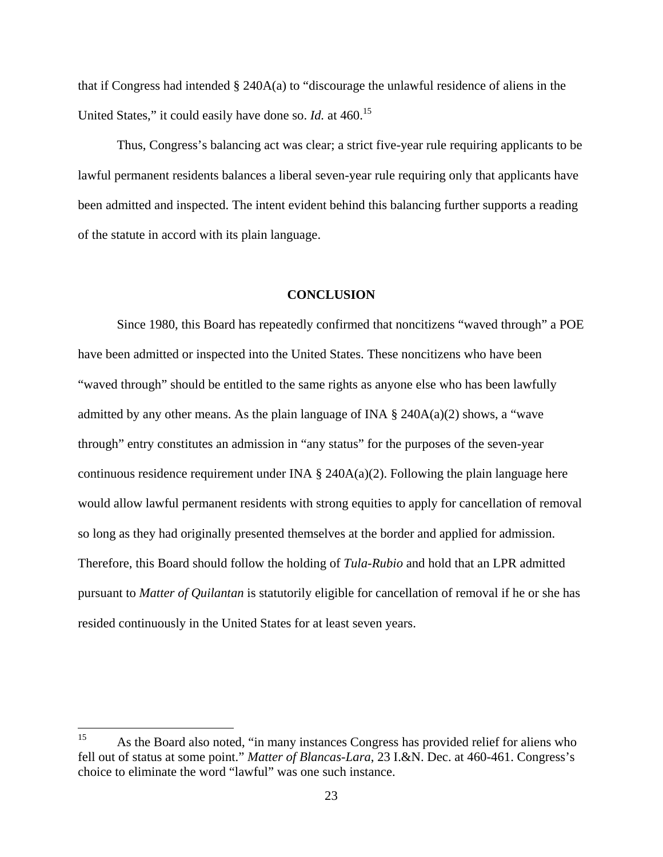that if Congress had intended § 240A(a) to "discourage the unlawful residence of aliens in the United States," it could easily have done so. *Id.* at 460.<sup>15</sup>

Thus, Congress's balancing act was clear; a strict five-year rule requiring applicants to be lawful permanent residents balances a liberal seven-year rule requiring only that applicants have been admitted and inspected. The intent evident behind this balancing further supports a reading of the statute in accord with its plain language.

#### **CONCLUSION**

Since 1980, this Board has repeatedly confirmed that noncitizens "waved through" a POE have been admitted or inspected into the United States. These noncitizens who have been "waved through" should be entitled to the same rights as anyone else who has been lawfully admitted by any other means. As the plain language of INA  $\S$  240A(a)(2) shows, a "wave through" entry constitutes an admission in "any status" for the purposes of the seven-year continuous residence requirement under INA  $\S$  240A(a)(2). Following the plain language here would allow lawful permanent residents with strong equities to apply for cancellation of removal so long as they had originally presented themselves at the border and applied for admission. Therefore, this Board should follow the holding of *Tula-Rubio* and hold that an LPR admitted pursuant to *Matter of Quilantan* is statutorily eligible for cancellation of removal if he or she has resided continuously in the United States for at least seven years.

<sup>15</sup> As the Board also noted, "in many instances Congress has provided relief for aliens who fell out of status at some point." *Matter of Blancas-Lara*, 23 I.&N. Dec. at 460-461. Congress's choice to eliminate the word "lawful" was one such instance.